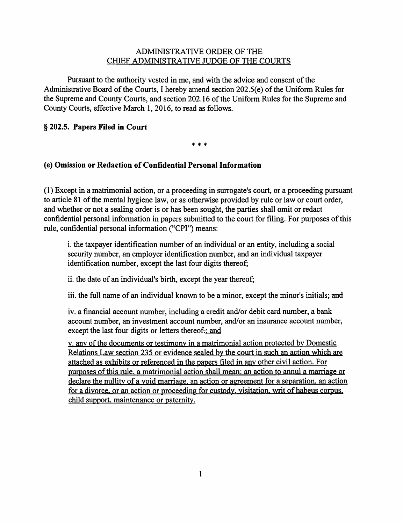## ADMINISTRATIVE ORDER OF THE CHIEF ADMINISTRATIVE JUDGE OF THE COURTS

Pursuant to the authority vested in me, and with the advice and consent of the Administrative Board of the Courts, I hereby amend section 202.5(e) of the Uniform Rules for the Supreme and County Courts, and section 202.16 of the Uniform Rules for the Supreme and County Courts, effective March 1, 2016, to read as follows.

## § **202.5. Papers Filed in Court**

\* \* \*

## (e) **Omission or Redaction of Confidential Personal Information**

(1) Except in a matrimonial action, or a proceeding in surrogate's court, or a proceeding pursuant to article 81 of the mental hygiene law, or as otherwise provided by rule or law or court order, and whether or not a sealing order is or has been sought, the parties shall omit or redact confidential personal information in papers submitted to the court for filing. For purposes of this rule, confidential personal information ("CPI") means:

i. the taxpayer identification number of an individual or an entity, including a social security number, an employer identification number, and an individual taxpayer identification number, except the last four digits thereof;

ii. the date of an individual's birth, except the year thereof;

iii. the full name of an individual known to be a minor, except the minor's initials; and

iv. a financial account number, including a credit and/or debit card number, a bank account number, an investment account number, and/or an insurance account number, except the last four digits or letters thereof.; and

v. any of the documents or testimony in a matrimonial action protected by Domestic Relations Law section 235 or evidence sealed by the court in such an action which are attached as exhibits or referenced in the papers filed in any other civil action. For purposes of this rule, a matrimonial action shall mean: an action to annul a marriage or declare the nullity of a void marriage, an action or agreement for a separation, an action for a divorce, or an action or proceeding for custody, visitation, writ of habeus corpus, child support, maintenance or paternity.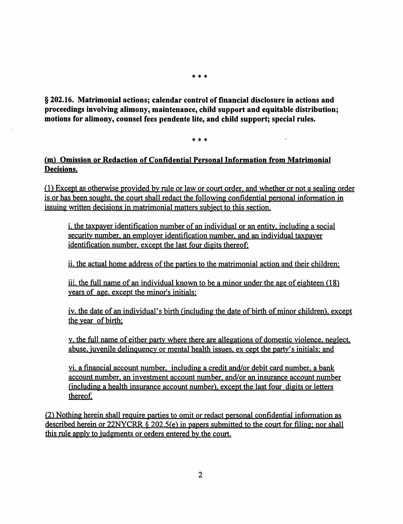\* \* \*

§ 202.16. Matrimonial actions; calendar control of financial disclosure in actions and proceedings involving alimony, maintenance, child support and equitable distribution; motions for alimony, counsel fees pendente lite, and child support; special rules.

\* \* \*

## (m) Omission or Redaction of Confidential Personal Information from Matrimonial Decisions.

(1) Except as otherwise provided by rule or law or court order. and whether or not a sealing order is or has been sought. the court shall redact the following confidential personal information in issuing written decisions in matrimonial matters subject to this section.

i. the taxpayer identification number of an individual or an entity. including a social security number. an employer identification number, and an individual taxpayer identification number, except the last four digits thereof;

ii. the actual home address of the parties to the matrimonial action and their children:

iii. the full name of an individual known to be a minor under the age of eighteen (18) years of age, except the minor's initials;

iv. the date of an individual's birth (including the date of birth of minor children), except the year of birth;

v. the full name of either party where there are allegations of domestic violence, neglect. abuse, juvenile delinguency or mental health issues. ex cept the party's initials: and

vi. a financial account number, including a credit and/or debit card number, a bank account number, an investment account number, and/or an insurance account number (including a health insurance account number), except the last four digits or letters thereof.

(2) Nothing herein shall reguire parties to omit or redact personal confidential information as described herein or 22NYCRR § 202.S(e) in papers submitted to the court for filing; nor shall this rule apply to judgments or orders entered by the court.